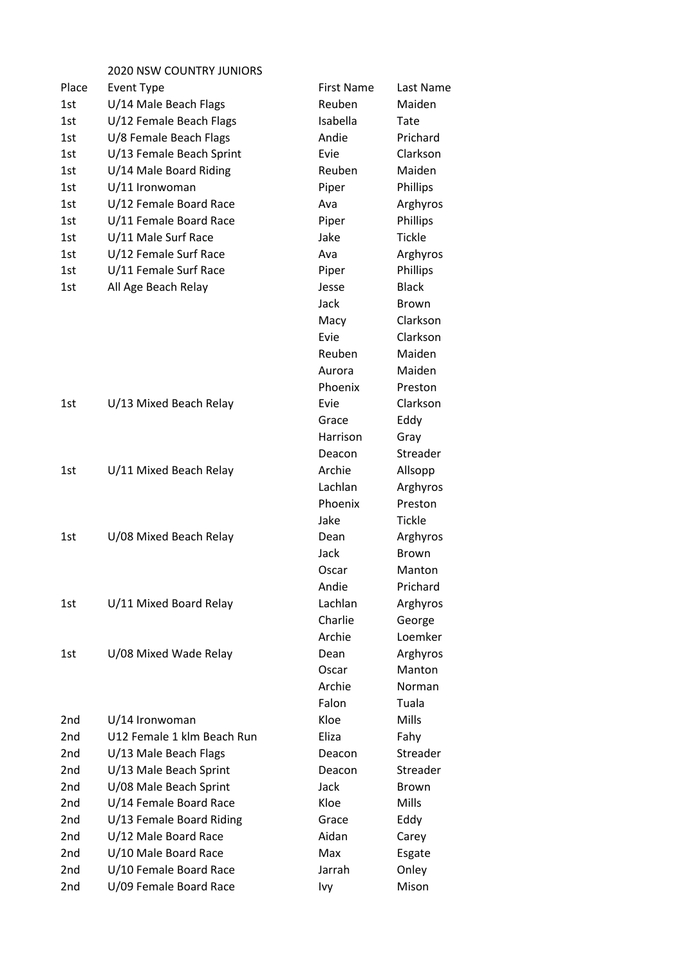## 2020 NSW COUNTRY JUNIORS

| Place           | <b>Event Type</b>          | <b>First Name</b> | Last Name     |
|-----------------|----------------------------|-------------------|---------------|
| 1st             | U/14 Male Beach Flags      | Reuben            | Maiden        |
| 1st             | U/12 Female Beach Flags    | Isabella          | Tate          |
| 1st             | U/8 Female Beach Flags     | Andie             | Prichard      |
| 1st             | U/13 Female Beach Sprint   | Evie              | Clarkson      |
| 1st             | U/14 Male Board Riding     | Reuben            | Maiden        |
| 1st             | U/11 Ironwoman             | Piper             | Phillips      |
| 1st             | U/12 Female Board Race     | Ava               | Arghyros      |
| 1st             | U/11 Female Board Race     | Piper             | Phillips      |
| 1st             | U/11 Male Surf Race        | Jake              | <b>Tickle</b> |
| 1st             | U/12 Female Surf Race      | Ava               | Arghyros      |
| 1st             | U/11 Female Surf Race      | Piper             | Phillips      |
| 1st             | All Age Beach Relay        | Jesse             | <b>Black</b>  |
|                 |                            | Jack              | <b>Brown</b>  |
|                 |                            | Macy              | Clarkson      |
|                 |                            | Evie              | Clarkson      |
|                 |                            | Reuben            | Maiden        |
|                 |                            | Aurora            | Maiden        |
|                 |                            | Phoenix           | Preston       |
| 1st             | U/13 Mixed Beach Relay     | Evie              | Clarkson      |
|                 |                            | Grace             | Eddy          |
|                 |                            | Harrison          | Gray          |
|                 |                            | Deacon            | Streader      |
| 1st             | U/11 Mixed Beach Relay     | Archie            | Allsopp       |
|                 |                            | Lachlan           | Arghyros      |
|                 |                            | Phoenix           | Preston       |
|                 |                            | Jake              | <b>Tickle</b> |
| 1st             | U/08 Mixed Beach Relay     | Dean              | Arghyros      |
|                 |                            | Jack              | <b>Brown</b>  |
|                 |                            | Oscar             | Manton        |
|                 |                            | Andie             | Prichard      |
| 1st             | U/11 Mixed Board Relay     | Lachlan           | Arghyros      |
|                 |                            | Charlie           | George        |
|                 |                            | Archie            | Loemker       |
| 1st             | U/08 Mixed Wade Relay      | Dean              | Arghyros      |
|                 |                            | Oscar             | Manton        |
|                 |                            | Archie            | <b>Norman</b> |
|                 |                            | Falon             | Tuala         |
| 2nd             | U/14 Ironwoman             | Kloe              | <b>Mills</b>  |
| 2 <sub>nd</sub> | U12 Female 1 klm Beach Run | Eliza             | Fahy          |
| 2nd             | U/13 Male Beach Flags      | Deacon            | Streader      |
| 2nd             | U/13 Male Beach Sprint     | Deacon            | Streader      |
| 2nd             | U/08 Male Beach Sprint     | Jack              | <b>Brown</b>  |
| 2nd             | U/14 Female Board Race     | Kloe              | Mills         |
| 2nd             | U/13 Female Board Riding   | Grace             | Eddy          |
| 2nd             | U/12 Male Board Race       | Aidan             | Carey         |
| 2nd             | U/10 Male Board Race       | Max               | Esgate        |
| 2nd             | U/10 Female Board Race     | Jarrah            | Onley         |
| 2nd             | U/09 Female Board Race     | Ivy               | Mison         |
|                 |                            |                   |               |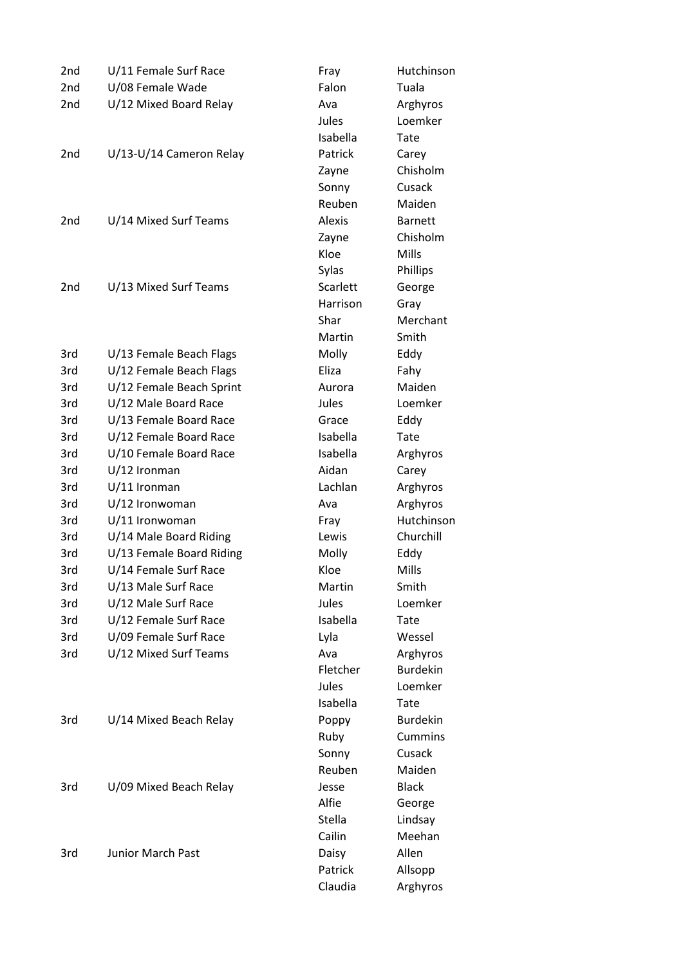| 2nd | U/11 Female Surf Race    | Fray     | Hutchinson      |
|-----|--------------------------|----------|-----------------|
| 2nd | U/08 Female Wade         | Falon    | Tuala           |
| 2nd | U/12 Mixed Board Relay   | Ava      | Arghyros        |
|     |                          | Jules    | Loemker         |
|     |                          | Isabella | Tate            |
| 2nd | U/13-U/14 Cameron Relay  | Patrick  | Carey           |
|     |                          | Zayne    | Chisholm        |
|     |                          | Sonny    | Cusack          |
|     |                          | Reuben   | Maiden          |
| 2nd | U/14 Mixed Surf Teams    | Alexis   | <b>Barnett</b>  |
|     |                          | Zayne    | Chisholm        |
|     |                          | Kloe     | Mills           |
|     |                          | Sylas    | Phillips        |
| 2nd | U/13 Mixed Surf Teams    | Scarlett | George          |
|     |                          | Harrison | Gray            |
|     |                          | Shar     | Merchant        |
|     |                          | Martin   | Smith           |
| 3rd | U/13 Female Beach Flags  | Molly    | Eddy            |
| 3rd | U/12 Female Beach Flags  | Eliza    | Fahy            |
| 3rd | U/12 Female Beach Sprint | Aurora   | Maiden          |
| 3rd | U/12 Male Board Race     | Jules    | Loemker         |
| 3rd | U/13 Female Board Race   | Grace    | Eddy            |
| 3rd | U/12 Female Board Race   | Isabella | Tate            |
| 3rd | U/10 Female Board Race   | Isabella | Arghyros        |
| 3rd | $U/12$ Ironman           | Aidan    | Carey           |
| 3rd | $U/11$ Ironman           | Lachlan  | Arghyros        |
| 3rd | U/12 Ironwoman           | Ava      | Arghyros        |
| 3rd | U/11 Ironwoman           | Fray     | Hutchinson      |
| 3rd | U/14 Male Board Riding   | Lewis    | Churchill       |
| 3rd | U/13 Female Board Riding | Molly    | Eddy            |
| 3rd | U/14 Female Surf Race    | Kloe     | Mills           |
| 3rd | U/13 Male Surf Race      | Martin   | Smith           |
| 3rd | U/12 Male Surf Race      | Jules    | Loemker         |
| 3rd | U/12 Female Surf Race    | Isabella | Tate            |
| 3rd | U/09 Female Surf Race    | Lyla     | Wessel          |
| 3rd | U/12 Mixed Surf Teams    | Ava      | Arghyros        |
|     |                          | Fletcher | <b>Burdekin</b> |
|     |                          | Jules    | Loemker         |
|     |                          | Isabella | Tate            |
| 3rd | U/14 Mixed Beach Relay   | Poppy    | <b>Burdekin</b> |
|     |                          | Ruby     | <b>Cummins</b>  |
|     |                          | Sonny    | Cusack          |
|     |                          | Reuben   | Maiden          |
| 3rd | U/09 Mixed Beach Relay   | Jesse    | <b>Black</b>    |
|     |                          | Alfie    | George          |
|     |                          | Stella   | Lindsay         |
|     |                          | Cailin   | Meehan          |
| 3rd | <b>Junior March Past</b> | Daisy    | Allen           |
|     |                          | Patrick  | Allsopp         |
|     |                          | Claudia  | Arghyros        |